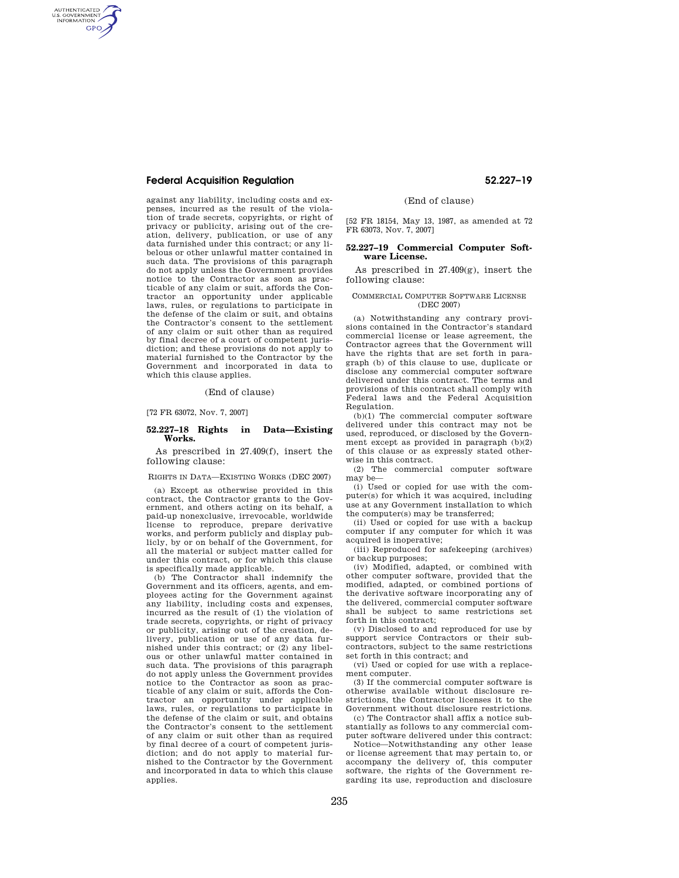# **Federal Acquisition Regulation 52.227–19**

AUTHENTICATED<br>U.S. GOVERNMENT<br>INFORMATION **GPO** 

> against any liability, including costs and expenses, incurred as the result of the violation of trade secrets, copyrights, or right of privacy or publicity, arising out of the creation, delivery, publication, or use of any data furnished under this contract; or any libelous or other unlawful matter contained in such data. The provisions of this paragraph do not apply unless the Government provides notice to the Contractor as soon as practicable of any claim or suit, affords the Contractor an opportunity under applicable laws, rules, or regulations to participate in the defense of the claim or suit, and obtains the Contractor's consent to the settlement of any claim or suit other than as required by final decree of a court of competent jurisdiction; and these provisions do not apply to material furnished to the Contractor by the Government and incorporated in data to which this clause applies.

> > (End of clause)

[72 FR 63072, Nov. 7, 2007]

#### **52.227–18 Rights in Data—Existing Works.**

As prescribed in 27.409(f), insert the following clause:

RIGHTS IN DATA—EXISTING WORKS (DEC 2007)

(a) Except as otherwise provided in this contract, the Contractor grants to the Government, and others acting on its behalf, a paid-up nonexclusive, irrevocable, worldwide license to reproduce, prepare derivative works, and perform publicly and display publicly, by or on behalf of the Government, for all the material or subject matter called for under this contract, or for which this clause is specifically made applicable.

(b) The Contractor shall indemnify the Government and its officers, agents, and employees acting for the Government against any liability, including costs and expenses, incurred as the result of (1) the violation of trade secrets, copyrights, or right of privacy or publicity, arising out of the creation, delivery, publication or use of any data fur-nished under this contract; or (2) any libelous or other unlawful matter contained in such data. The provisions of this paragraph do not apply unless the Government provides notice to the Contractor as soon as practicable of any claim or suit, affords the Contractor an opportunity under applicable laws, rules, or regulations to participate in the defense of the claim or suit, and obtains the Contractor's consent to the settlement of any claim or suit other than as required by final decree of a court of competent jurisdiction; and do not apply to material furnished to the Contractor by the Government and incorporated in data to which this clause applies.

(End of clause)

[52 FR 18154, May 13, 1987, as amended at 72 FR 63073, Nov. 7, 2007]

### **52.227–19 Commercial Computer Software License.**

As prescribed in 27.409(g), insert the following clause:

#### COMMERCIAL COMPUTER SOFTWARE LICENSE (DEC 2007)

(a) Notwithstanding any contrary provisions contained in the Contractor's standard commercial license or lease agreement, the Contractor agrees that the Government will have the rights that are set forth in paragraph (b) of this clause to use, duplicate or disclose any commercial computer software delivered under this contract. The terms and provisions of this contract shall comply with Federal laws and the Federal Acquisition Regulation.

(b)(1) The commercial computer software delivered under this contract may not be used, reproduced, or disclosed by the Government except as provided in paragraph (b)(2) of this clause or as expressly stated otherwise in this contract.

(2) The commercial computer software may be—

(i) Used or copied for use with the computer(s) for which it was acquired, including use at any Government installation to which the computer(s) may be transferred;

(ii) Used or copied for use with a backup computer if any computer for which it was acquired is inoperative;

(iii) Reproduced for safekeeping (archives) or backup purposes;

(iv) Modified, adapted, or combined with other computer software, provided that the modified, adapted, or combined portions of the derivative software incorporating any of the delivered, commercial computer software shall be subject to same restrictions set forth in this contract;

(v) Disclosed to and reproduced for use by support service Contractors or their subcontractors, subject to the same restrictions set forth in this contract; and

(vi) Used or copied for use with a replacement computer.

(3) If the commercial computer software is otherwise available without disclosure restrictions, the Contractor licenses it to the Government without disclosure restrictions.

(c) The Contractor shall affix a notice substantially as follows to any commercial computer software delivered under this contract:

Notice—Notwithstanding any other lease or license agreement that may pertain to, or accompany the delivery of, this computer software, the rights of the Government regarding its use, reproduction and disclosure